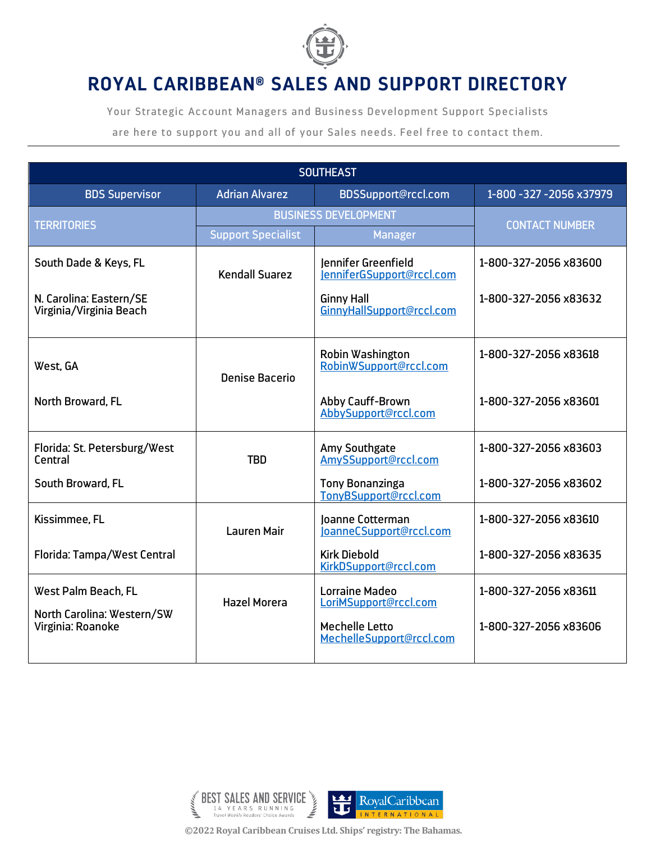

Your Strategic Account Managers and Business Development Support Specialists

are here to support you and all of your Sales needs. Feel free to contact them.

| <b>SOUTHEAST</b>                                   |                             |                                                    |                         |
|----------------------------------------------------|-----------------------------|----------------------------------------------------|-------------------------|
| <b>BDS Supervisor</b>                              | <b>Adrian Alvarez</b>       | <b>BDSSupport@rccl.com</b>                         | 1-800 -327 -2056 x37979 |
| <b>TERRITORIES</b>                                 | <b>BUSINESS DEVELOPMENT</b> |                                                    | <b>CONTACT NUMBER</b>   |
|                                                    | <b>Support Specialist</b>   | <b>Manager</b>                                     |                         |
| South Dade & Keys, FL                              | <b>Kendall Suarez</b>       | lennifer Greenfield<br>JenniferGSupport@rccl.com   | 1-800-327-2056 x83600   |
| N. Carolina: Eastern/SE<br>Virginia/Virginia Beach |                             | <b>Ginny Hall</b><br>GinnyHallSupport@rccl.com     | 1-800-327-2056 x83632   |
| West, GA                                           | <b>Denise Bacerio</b>       | <b>Robin Washington</b><br>RobinWSupport@rccl.com  | 1-800-327-2056 x83618   |
| <b>North Broward, FL</b>                           |                             | Abby Cauff-Brown<br>AbbySupport@rccl.com           | 1-800-327-2056 x83601   |
| Florida: St. Petersburg/West<br>Central            | <b>TBD</b>                  | Amy Southgate<br>AmySSupport@rccl.com              | 1-800-327-2056 x83603   |
| South Broward, FL                                  |                             | <b>Tony Bonanzinga</b><br>TonyBSupport@rccl.com    | 1-800-327-2056 x83602   |
| Kissimmee, FL                                      | <b>Lauren Mair</b>          | <b>Ioanne Cotterman</b><br>loanneCSupport@rccl.com | 1-800-327-2056 x83610   |
| Florida: Tampa/West Central                        |                             | <b>Kirk Diebold</b><br>KirkDSupport@rccl.com       | 1-800-327-2056 x83635   |
| West Palm Beach, FL                                | <b>Hazel Morera</b>         | <b>Lorraine Madeo</b><br>LoriMSupport@rccl.com     | 1-800-327-2056 x83611   |
| North Carolina: Western/SW<br>Virginia: Roanoke    |                             | <b>Mechelle Letto</b><br>MechelleSupport@rccl.com  | 1-800-327-2056 x83606   |

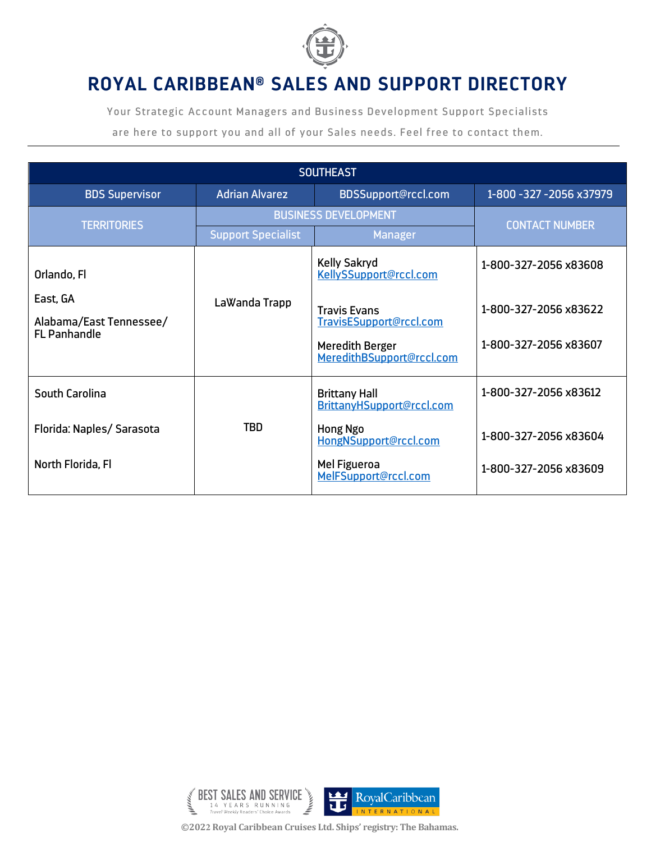

Your Strategic Account Managers and Business Development Support Specialists

are here to support you and all of your Sales needs. Feel free to contact them.

| <b>SOUTHEAST</b>                                           |                             |                                                                                |                                                |
|------------------------------------------------------------|-----------------------------|--------------------------------------------------------------------------------|------------------------------------------------|
| <b>BDS Supervisor</b>                                      | <b>Adrian Alvarez</b>       | BDSSupport@rccl.com                                                            | 1-800 -327 -2056 x37979                        |
| <b>TERRITORIES</b>                                         | <b>BUSINESS DEVELOPMENT</b> |                                                                                | <b>CONTACT NUMBER</b>                          |
|                                                            | <b>Support Specialist</b>   | <b>Manager</b>                                                                 |                                                |
| Orlando, Fl                                                |                             | <b>Kelly Sakryd</b><br>KellySSupport@rccl.com                                  | 1-800-327-2056 x83608                          |
| East, GA<br>Alabama/East Tennessee/<br><b>FL Panhandle</b> | LaWanda Trapp               | <b>Travis Evans</b><br>TravisESupport@rccl.com<br><b>Meredith Berger</b>       | 1-800-327-2056 x83622<br>1-800-327-2056 x83607 |
| <b>South Carolina</b>                                      |                             | MeredithBSupport@rccl.com<br><b>Brittany Hall</b><br>BrittanyHSupport@rccl.com | 1-800-327-2056 x83612                          |
| Florida: Naples/ Sarasota<br>North Florida, Fl             | TBD.                        | Hong Ngo<br>HongNSupport@rccl.com<br>Mel Figueroa<br>MelFSupport@rccl.com      | 1-800-327-2056 x83604<br>1-800-327-2056 x83609 |

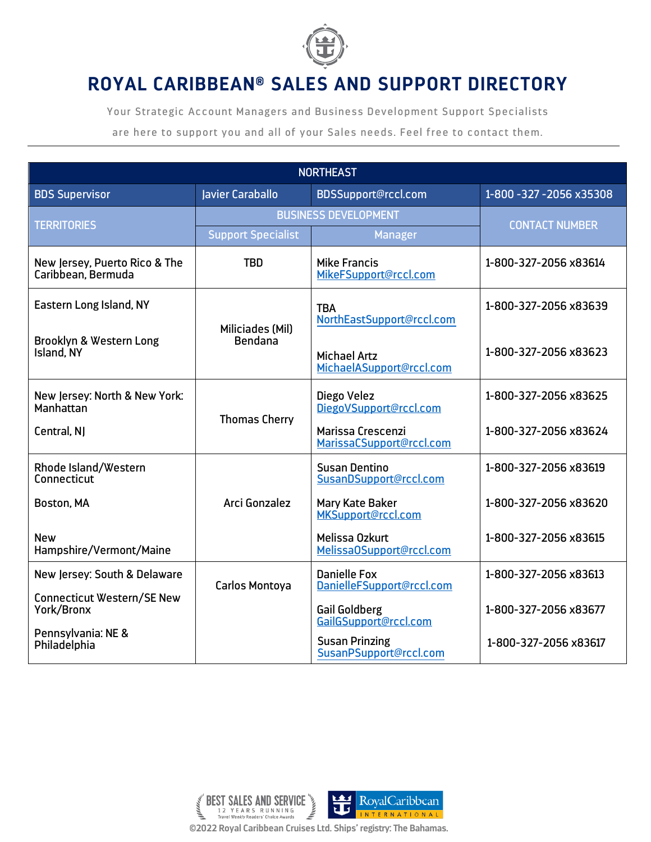

Your Strategic Account Managers and Business Development Support Specialists

are here to support you and all of your Sales needs. Feel free to contact them.

| <b>NORTHEAST</b>                                    |                             |                                                  |                         |
|-----------------------------------------------------|-----------------------------|--------------------------------------------------|-------------------------|
| <b>BDS Supervisor</b>                               | Javier Caraballo            | BDSSupport@rccl.com                              | 1-800 -327 -2056 x35308 |
| <b>TERRITORIES</b>                                  | <b>BUSINESS DEVELOPMENT</b> |                                                  | <b>CONTACT NUMBER</b>   |
|                                                     | <b>Support Specialist</b>   | <b>Manager</b>                                   |                         |
| New Jersey, Puerto Rico & The<br>Caribbean, Bermuda | <b>TBD</b>                  | <b>Mike Francis</b><br>MikeFSupport@rccl.com     | 1-800-327-2056 x83614   |
| Eastern Long Island, NY                             | Miliciades (Mil)            | <b>TBA</b><br>NorthEastSupport@rccl.com          | 1-800-327-2056 x83639   |
| Brooklyn & Western Long<br>Island, NY               | <b>Bendana</b>              | <b>Michael Artz</b><br>MichaelASupport@rccl.com  | 1-800-327-2056 x83623   |
| New Jersey: North & New York:<br>Manhattan          | <b>Thomas Cherry</b>        | Diego Velez<br>DiegoVSupport@rccl.com            | 1-800-327-2056 x83625   |
| Central, NJ                                         |                             | Marissa Crescenzi<br>MarissaCSupport@rccl.com    | 1-800-327-2056 x83624   |
| Rhode Island/Western<br>Connecticut                 |                             | <b>Susan Dentino</b><br>SusanDSupport@rccl.com   | 1-800-327-2056 x83619   |
| Boston, MA                                          | Arci Gonzalez               | Mary Kate Baker<br>MKSupport@rccl.com            | 1-800-327-2056 x83620   |
| <b>New</b><br>Hampshire/Vermont/Maine               |                             | Melissa Ozkurt<br>MelissaOSupport@rccl.com       | 1-800-327-2056 x83615   |
| New Jersey: South & Delaware                        | <b>Carlos Montoya</b>       | <b>Danielle Fox</b><br>DanielleFSupport@rccl.com | 1-800-327-2056 x83613   |
| <b>Connecticut Western/SE New</b><br>York/Bronx     |                             | <b>Gail Goldberg</b><br>GailGSupport@rccl.com    | 1-800-327-2056 x83677   |
| Pennsylvania: NE &<br>Philadelphia                  |                             | <b>Susan Prinzing</b><br>SusanPSupport@rccl.com  | 1-800-327-2056 x83617   |

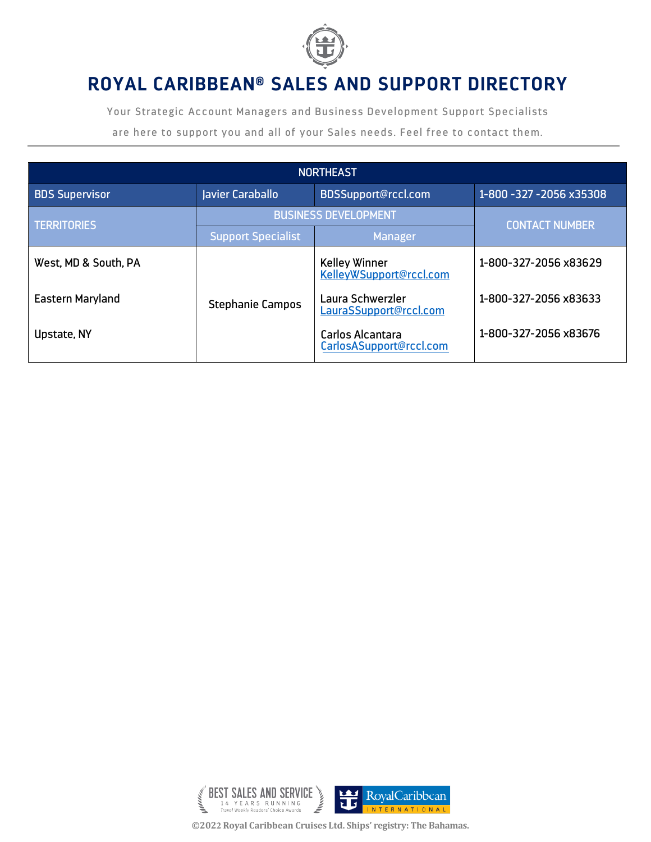

Your Strategic Account Managers and Business Development Support Specialists

are here to support you and all of your Sales needs. Feel free to contact them.

| <b>NORTHEAST</b>        |                             |                                                 |                         |
|-------------------------|-----------------------------|-------------------------------------------------|-------------------------|
| <b>BDS Supervisor</b>   | Javier Caraballo            | BDSSupport@rccl.com                             | 1-800 -327 -2056 x35308 |
| <b>TERRITORIES</b>      | <b>BUSINESS DEVELOPMENT</b> |                                                 | <b>CONTACT NUMBER</b>   |
|                         | <b>Support Specialist</b>   | <b>Manager</b>                                  |                         |
| West, MD & South, PA    |                             | <b>Kelley Winner</b><br>KelleyWSupport@rccl.com | 1-800-327-2056 x83629   |
| <b>Eastern Maryland</b> | <b>Stephanie Campos</b>     | Laura Schwerzler<br>LauraSSupport@rccl.com      | 1-800-327-2056 x83633   |
| Upstate, NY             |                             | Carlos Alcantara<br>CarlosASupport@rccl.com     | 1-800-327-2056 x83676   |

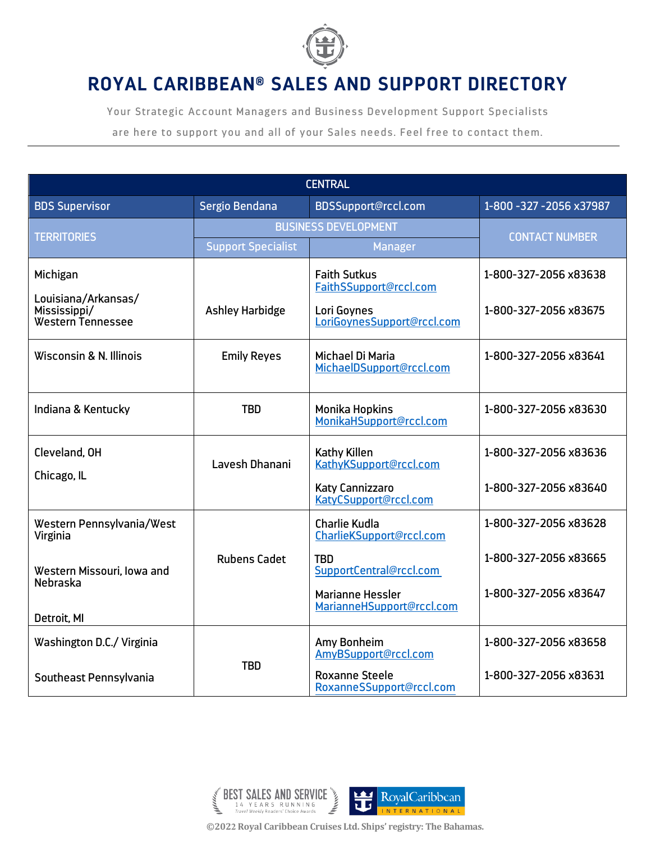

Your Strategic Account Managers and Business Development Support Specialists

are here to support you and all of your Sales needs. Feel free to contact them.

| <b>CENTRAL</b>                                                  |                             |                                                      |                         |  |
|-----------------------------------------------------------------|-----------------------------|------------------------------------------------------|-------------------------|--|
| <b>BDS Supervisor</b>                                           | Sergio Bendana              | BDSSupport@rccl.com                                  | 1-800 -327 -2056 x37987 |  |
| <b>TERRITORIES</b>                                              | <b>BUSINESS DEVELOPMENT</b> |                                                      | <b>CONTACT NUMBER</b>   |  |
|                                                                 | <b>Support Specialist</b>   | <b>Manager</b>                                       |                         |  |
| Michigan                                                        |                             | <b>Faith Sutkus</b><br>FaithSSupport@rccl.com        | 1-800-327-2056 x83638   |  |
| Louisiana/Arkansas/<br>Mississippi/<br><b>Western Tennessee</b> | <b>Ashley Harbidge</b>      | Lori Goynes<br>LoriGoynesSupport@rccl.com            | 1-800-327-2056 x83675   |  |
| Wisconsin & N. Illinois                                         | <b>Emily Reyes</b>          | Michael Di Maria<br>MichaelDSupport@rccl.com         | 1-800-327-2056 x83641   |  |
| Indiana & Kentucky                                              | <b>TBD</b>                  | <b>Monika Hopkins</b><br>MonikaHSupport@rccl.com     | 1-800-327-2056 x83630   |  |
| Cleveland, OH                                                   | Lavesh Dhanani              | Kathy Killen<br>KathyKSupport@rccl.com               | 1-800-327-2056 x83636   |  |
| Chicago, IL                                                     |                             | Katy Cannizzaro<br>KatyCSupport@rccl.com             | 1-800-327-2056 x83640   |  |
| Western Pennsylvania/West<br>Virginia                           |                             | <b>Charlie Kudla</b><br>CharlieKSupport@rccl.com     | 1-800-327-2056 x83628   |  |
| Western Missouri, Iowa and                                      | <b>Rubens Cadet</b>         | <b>TBD</b><br>SupportCentral@rccl.com                | 1-800-327-2056 x83665   |  |
| <b>Nebraska</b>                                                 |                             | <b>Marianne Hessler</b><br>MarianneHSupport@rccl.com | 1-800-327-2056 x83647   |  |
| Detroit, MI                                                     |                             |                                                      |                         |  |
| Washington D.C./ Virginia                                       |                             | Amy Bonheim<br>AmyBSupport@rccl.com                  | 1-800-327-2056 x83658   |  |
| Southeast Pennsylvania                                          | <b>TBD</b>                  | <b>Roxanne Steele</b><br>RoxanneSSupport@rccl.com    | 1-800-327-2056 x83631   |  |

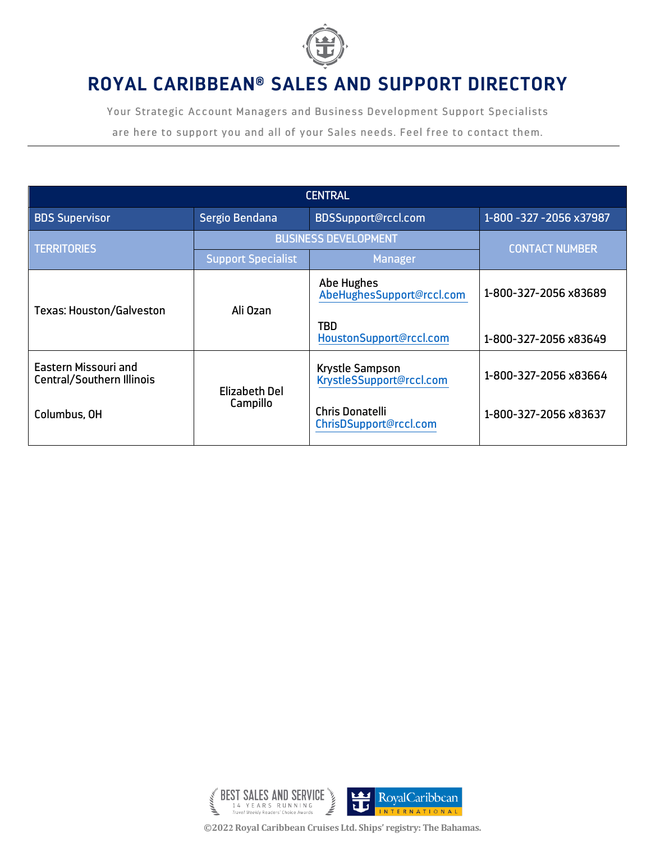

Your Strategic Account Managers and Business Development Support Specialists

are here to support you and all of your Sales needs. Feel free to contact them.

| <b>CENTRAL</b>                                                  |                             |                                             |                         |
|-----------------------------------------------------------------|-----------------------------|---------------------------------------------|-------------------------|
| <b>BDS Supervisor</b>                                           | Sergio Bendana              | <b>BDSSupport@rccl.com</b>                  | 1-800 -327 -2056 x37987 |
| <b>TERRITORIES</b>                                              | <b>BUSINESS DEVELOPMENT</b> |                                             | <b>CONTACT NUMBER</b>   |
|                                                                 | <b>Support Specialist</b>   | Manager                                     |                         |
| <b>Texas: Houston/Galveston</b>                                 | Ali Ozan                    | Abe Hughes<br>AbeHughesSupport@rccl.com     | 1-800-327-2056 x83689   |
|                                                                 |                             | TBD.<br>HoustonSupport@rccl.com             | 1-800-327-2056 x83649   |
| <b>Eastern Missouri and</b><br><b>Central/Southern Illinois</b> | Elizabeth Del<br>Campillo   | Krystle Sampson<br>KrystleSSupport@rccl.com | 1-800-327-2056 x83664   |
| Columbus, OH                                                    |                             | Chris Donatelli<br>ChrisDSupport@rccl.com   | 1-800-327-2056 x83637   |

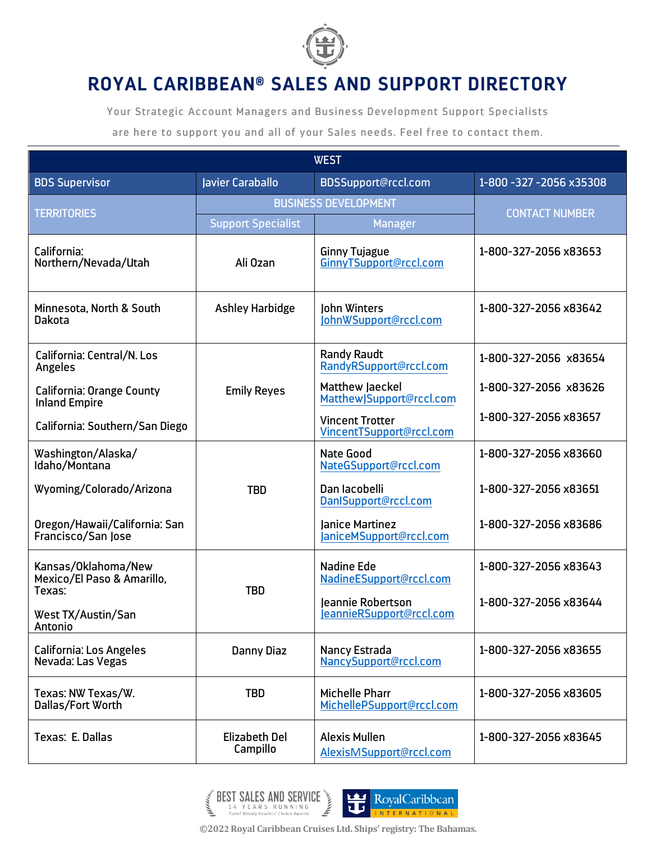

Your Strategic Account Managers and Business Development Support Specialists

are here to support you and all of your Sales needs. Feel free to contact them.

| <b>WEST</b>                                              |                                  |                                                    |                         |  |
|----------------------------------------------------------|----------------------------------|----------------------------------------------------|-------------------------|--|
| <b>BDS Supervisor</b>                                    | Javier Caraballo                 | BDSSupport@rccl.com                                | 1-800 -327 -2056 x35308 |  |
| <b>TERRITORIES</b>                                       | <b>BUSINESS DEVELOPMENT</b>      |                                                    | <b>CONTACT NUMBER</b>   |  |
|                                                          | <b>Support Specialist</b>        | Manager                                            |                         |  |
| California:<br>Northern/Nevada/Utah                      | Ali Ozan                         | <b>Ginny Tujague</b><br>GinnyTSupport@rccl.com     | 1-800-327-2056 x83653   |  |
| Minnesota, North & South<br><b>Dakota</b>                | <b>Ashley Harbidge</b>           | John Winters<br>JohnWSupport@rccl.com              | 1-800-327-2056 x83642   |  |
| California: Central/N. Los<br>Angeles                    |                                  | <b>Randy Raudt</b><br>RandyRSupport@rccl.com       | 1-800-327-2056 x83654   |  |
| <b>California: Orange County</b><br><b>Inland Empire</b> | <b>Emily Reyes</b>               | Matthew Jaeckel<br>MatthewJSupport@rccl.com        | 1-800-327-2056 x83626   |  |
| California: Southern/San Diego                           |                                  | <b>Vincent Trotter</b><br>VincentTSupport@rccl.com | 1-800-327-2056 x83657   |  |
| Washington/Alaska/<br>Idaho/Montana                      |                                  | Nate Good<br>NateGSupport@rccl.com                 | 1-800-327-2056 x83660   |  |
| Wyoming/Colorado/Arizona                                 | <b>TBD</b>                       | Dan lacobelli<br>DanISupport@rccl.com              | 1-800-327-2056 x83651   |  |
| Oregon/Hawaii/California: San<br>Francisco/San Jose      |                                  | Janice Martinez<br>JaniceMSupport@rccl.com         | 1-800-327-2056 x83686   |  |
| Kansas/Oklahoma/New<br>Mexico/El Paso & Amarillo,        |                                  | <b>Nadine Ede</b><br>NadineESupport@rccl.com       | 1-800-327-2056 x83643   |  |
| Texas:<br>West TX/Austin/San<br>Antonio                  | <b>TBD</b>                       | Jeannie Robertson<br>JeannieRSupport@rccl.com      | 1-800-327-2056 x83644   |  |
| <b>California: Los Angeles</b><br>Nevada: Las Vegas      | <b>Danny Diaz</b>                | Nancy Estrada<br>NancySupport@rccl.com             | 1-800-327-2056 x83655   |  |
| Texas: NW Texas/W.<br>Dallas/Fort Worth                  | <b>TBD</b>                       | <b>Michelle Pharr</b><br>MichellePSupport@rccl.com | 1-800-327-2056 x83605   |  |
| Texas: E. Dallas                                         | <b>Elizabeth Del</b><br>Campillo | <b>Alexis Mullen</b><br>AlexisMSupport@rccl.com    | 1-800-327-2056 x83645   |  |